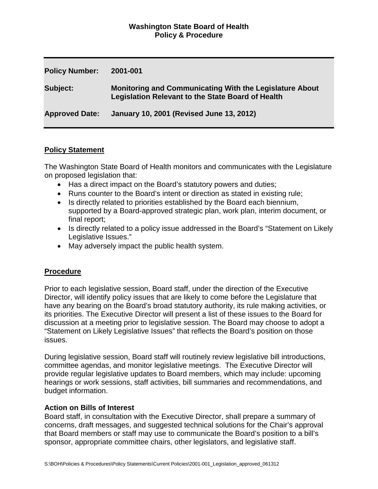## **Washington State Board of Health Policy & Procedure**

| <b>Policy Number:</b> | 2001-001                                                                                                                   |
|-----------------------|----------------------------------------------------------------------------------------------------------------------------|
| Subject:              | <b>Monitoring and Communicating With the Legislature About</b><br><b>Legislation Relevant to the State Board of Health</b> |
| <b>Approved Date:</b> | January 10, 2001 (Revised June 13, 2012)                                                                                   |

### **Policy Statement**

The Washington State Board of Health monitors and communicates with the Legislature on proposed legislation that:

- Has a direct impact on the Board's statutory powers and duties;
- Runs counter to the Board's intent or direction as stated in existing rule;
- Is directly related to priorities established by the Board each biennium, supported by a Board-approved strategic plan, work plan, interim document, or final report;
- Is directly related to a policy issue addressed in the Board's "Statement on Likely Legislative Issues."
- May adversely impact the public health system.

# **Procedure**

Prior to each legislative session, Board staff, under the direction of the Executive Director, will identify policy issues that are likely to come before the Legislature that have any bearing on the Board's broad statutory authority, its rule making activities, or its priorities. The Executive Director will present a list of these issues to the Board for discussion at a meeting prior to legislative session. The Board may choose to adopt a "Statement on Likely Legislative Issues" that reflects the Board's position on those issues.

During legislative session, Board staff will routinely review legislative bill introductions, committee agendas, and monitor legislative meetings. The Executive Director will provide regular legislative updates to Board members, which may include: upcoming hearings or work sessions, staff activities, bill summaries and recommendations, and budget information.

### **Action on Bills of Interest**

Board staff, in consultation with the Executive Director, shall prepare a summary of concerns, draft messages, and suggested technical solutions for the Chair's approval that Board members or staff may use to communicate the Board's position to a bill's sponsor, appropriate committee chairs, other legislators, and legislative staff.